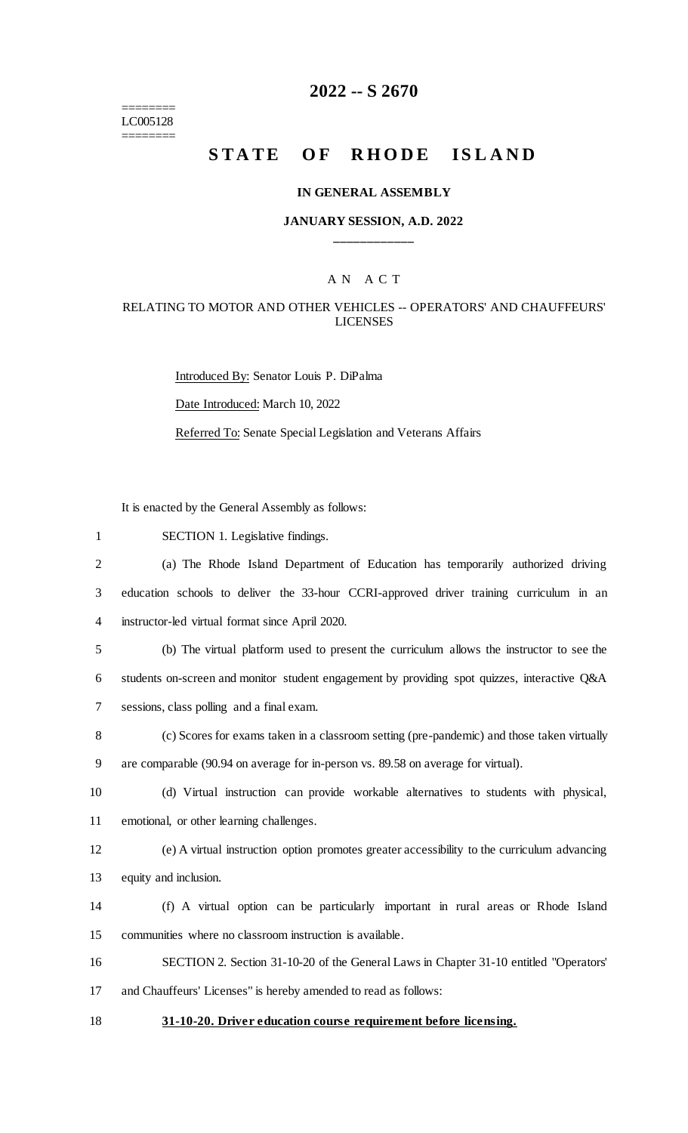======== LC005128  $=$ 

# **2022 -- S 2670**

# STATE OF RHODE ISLAND

### **IN GENERAL ASSEMBLY**

### **JANUARY SESSION, A.D. 2022 \_\_\_\_\_\_\_\_\_\_\_\_**

### A N A C T

### RELATING TO MOTOR AND OTHER VEHICLES -- OPERATORS' AND CHAUFFEURS' LICENSES

Introduced By: Senator Louis P. DiPalma Date Introduced: March 10, 2022 Referred To: Senate Special Legislation and Veterans Affairs

It is enacted by the General Assembly as follows:

| $\mathbf{1}$   | SECTION 1. Legislative findings.                                                             |
|----------------|----------------------------------------------------------------------------------------------|
| $\overline{2}$ | (a) The Rhode Island Department of Education has temporarily authorized driving              |
| 3              | education schools to deliver the 33-hour CCRI-approved driver training curriculum in an      |
| $\overline{4}$ | instructor-led virtual format since April 2020.                                              |
| 5              | (b) The virtual platform used to present the curriculum allows the instructor to see the     |
| 6              | students on-screen and monitor student engagement by providing spot quizzes, interactive Q&A |
| 7              | sessions, class polling and a final exam.                                                    |
| 8              | (c) Scores for exams taken in a classroom setting (pre-pandemic) and those taken virtually   |
| 9              | are comparable (90.94 on average for in-person vs. 89.58 on average for virtual).            |
| 10             | (d) Virtual instruction can provide workable alternatives to students with physical,         |
| 11             | emotional, or other learning challenges.                                                     |
| 12             | (e) A virtual instruction option promotes greater accessibility to the curriculum advancing  |
| 13             | equity and inclusion.                                                                        |
| 14             | (f) A virtual option can be particularly important in rural areas or Rhode Island            |
| 15             | communities where no classroom instruction is available.                                     |
| 16             | SECTION 2. Section 31-10-20 of the General Laws in Chapter 31-10 entitled "Operators'        |
| 17             | and Chauffeurs' Licenses" is hereby amended to read as follows:                              |
| 18             | 31-10-20. Driver education course requirement before licensing.                              |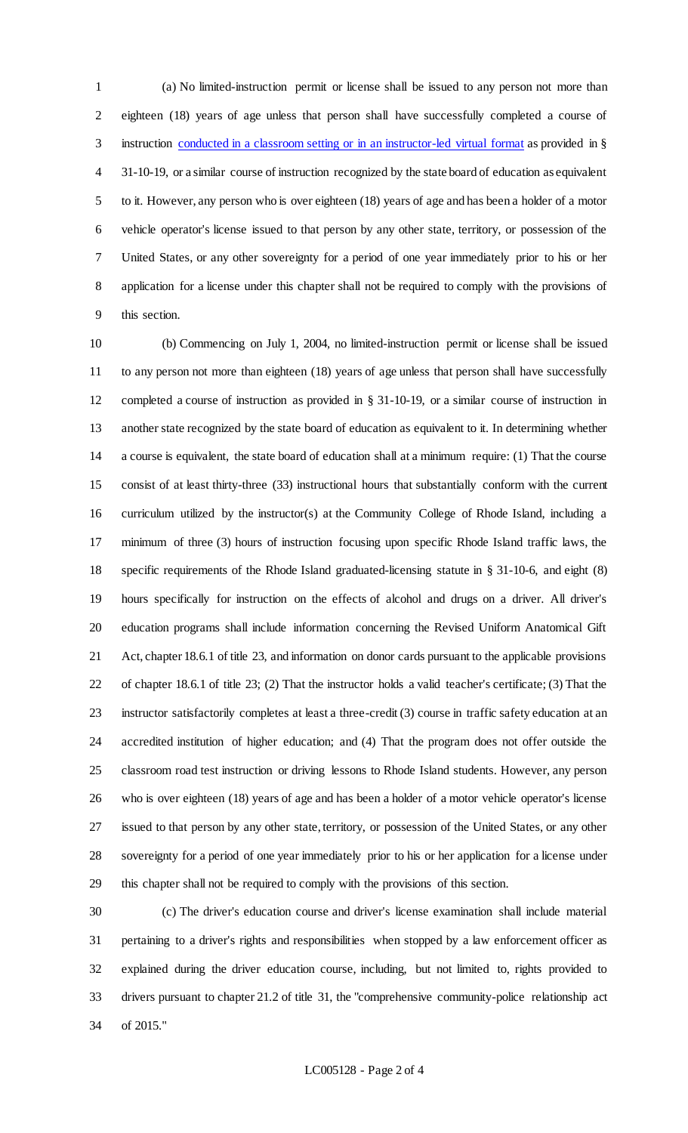(a) No limited-instruction permit or license shall be issued to any person not more than eighteen (18) years of age unless that person shall have successfully completed a course of 3 instruction conducted in a classroom setting or in an instructor-led virtual format as provided in § 31-10-19, or a similar course of instruction recognized by the state board of education as equivalent to it. However, any person who is over eighteen (18) years of age and has been a holder of a motor vehicle operator's license issued to that person by any other state, territory, or possession of the United States, or any other sovereignty for a period of one year immediately prior to his or her application for a license under this chapter shall not be required to comply with the provisions of this section.

 (b) Commencing on July 1, 2004, no limited-instruction permit or license shall be issued to any person not more than eighteen (18) years of age unless that person shall have successfully completed a course of instruction as provided in § 31-10-19, or a similar course of instruction in another state recognized by the state board of education as equivalent to it. In determining whether a course is equivalent, the state board of education shall at a minimum require: (1) That the course consist of at least thirty-three (33) instructional hours that substantially conform with the current curriculum utilized by the instructor(s) at the Community College of Rhode Island, including a minimum of three (3) hours of instruction focusing upon specific Rhode Island traffic laws, the specific requirements of the Rhode Island graduated-licensing statute in § 31-10-6, and eight (8) hours specifically for instruction on the effects of alcohol and drugs on a driver. All driver's education programs shall include information concerning the Revised Uniform Anatomical Gift Act, chapter 18.6.1 of title 23, and information on donor cards pursuant to the applicable provisions of chapter 18.6.1 of title 23; (2) That the instructor holds a valid teacher's certificate; (3) That the instructor satisfactorily completes at least a three-credit (3) course in traffic safety education at an accredited institution of higher education; and (4) That the program does not offer outside the classroom road test instruction or driving lessons to Rhode Island students. However, any person who is over eighteen (18) years of age and has been a holder of a motor vehicle operator's license issued to that person by any other state, territory, or possession of the United States, or any other sovereignty for a period of one year immediately prior to his or her application for a license under this chapter shall not be required to comply with the provisions of this section.

 (c) The driver's education course and driver's license examination shall include material pertaining to a driver's rights and responsibilities when stopped by a law enforcement officer as explained during the driver education course, including, but not limited to, rights provided to drivers pursuant to chapter 21.2 of title 31, the "comprehensive community-police relationship act of 2015."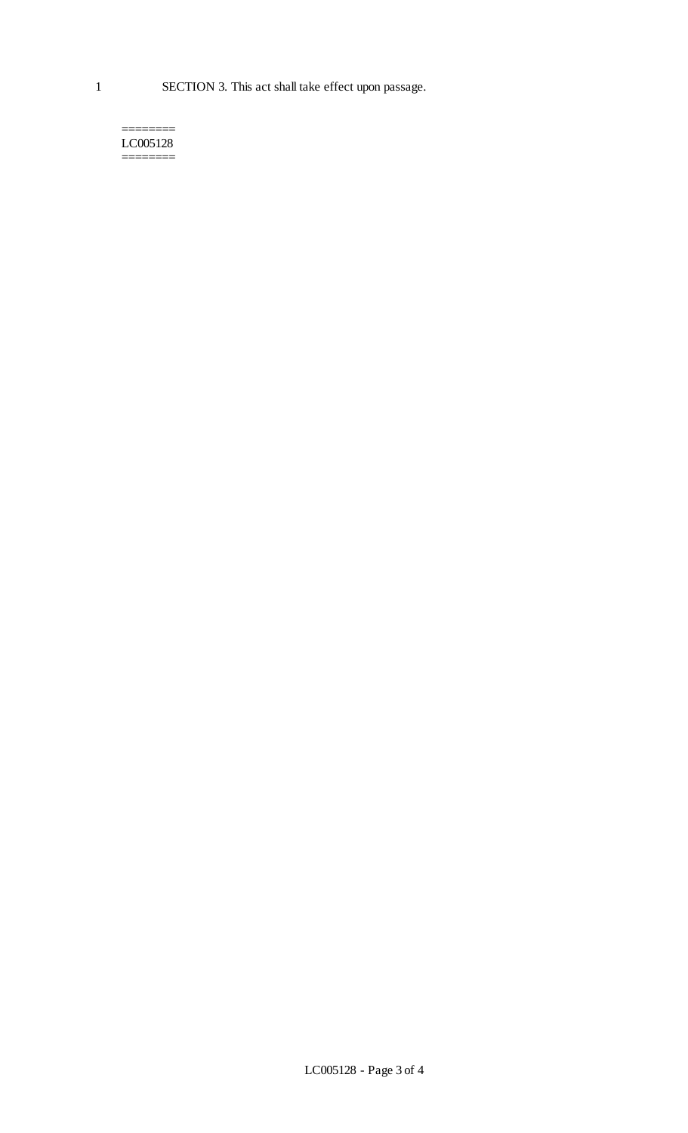#### ======== LC005128 ========